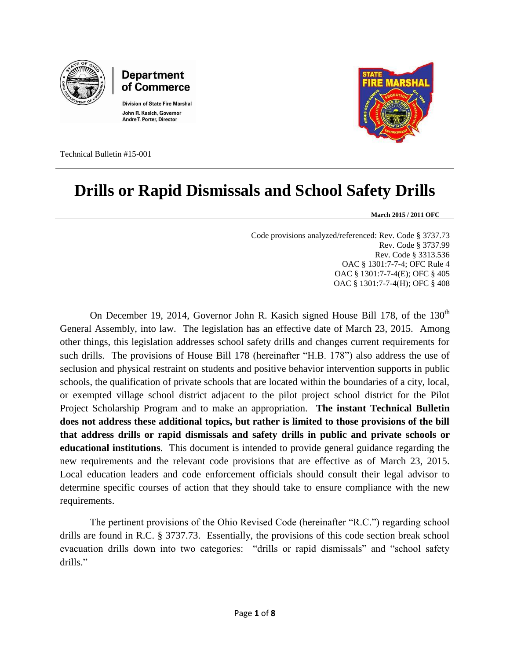



John R. Kasich, Governor Andre T. Porter, Director



Technical Bulletin #15-001

# **Drills or Rapid Dismissals and School Safety Drills**

**March 2015 / 2011 OFC**

Code provisions analyzed/referenced: Rev. Code § 3737.73 Rev. Code § 3737.99 Rev. Code § 3313.536 OAC § 1301:7-7-4; OFC Rule 4 OAC § 1301:7-7-4(E); OFC § 405 OAC § 1301:7-7-4(H); OFC § 408

On December 19, 2014, Governor John R. Kasich signed House Bill 178, of the  $130<sup>th</sup>$ General Assembly, into law. The legislation has an effective date of March 23, 2015. Among other things, this legislation addresses school safety drills and changes current requirements for such drills. The provisions of House Bill 178 (hereinafter "H.B. 178") also address the use of seclusion and physical restraint on students and positive behavior intervention supports in public schools, the qualification of private schools that are located within the boundaries of a city, local, or exempted village school district adjacent to the pilot project school district for the Pilot Project Scholarship Program and to make an appropriation. **The instant Technical Bulletin does not address these additional topics, but rather is limited to those provisions of the bill that address drills or rapid dismissals and safety drills in public and private schools or educational institutions**. This document is intended to provide general guidance regarding the new requirements and the relevant code provisions that are effective as of March 23, 2015. Local education leaders and code enforcement officials should consult their legal advisor to determine specific courses of action that they should take to ensure compliance with the new requirements.

The pertinent provisions of the Ohio Revised Code (hereinafter "R.C.") regarding school drills are found in R.C. § 3737.73. Essentially, the provisions of this code section break school evacuation drills down into two categories: "drills or rapid dismissals" and "school safety drills."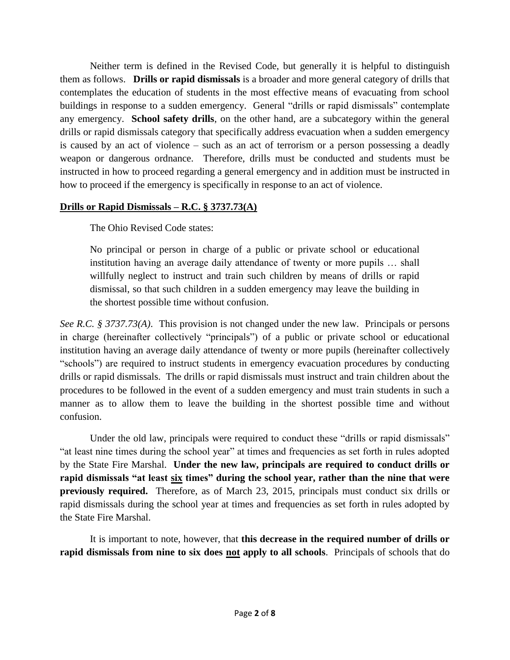Neither term is defined in the Revised Code, but generally it is helpful to distinguish them as follows. **Drills or rapid dismissals** is a broader and more general category of drills that contemplates the education of students in the most effective means of evacuating from school buildings in response to a sudden emergency. General "drills or rapid dismissals" contemplate any emergency. **School safety drills**, on the other hand, are a subcategory within the general drills or rapid dismissals category that specifically address evacuation when a sudden emergency is caused by an act of violence – such as an act of terrorism or a person possessing a deadly weapon or dangerous ordnance. Therefore, drills must be conducted and students must be instructed in how to proceed regarding a general emergency and in addition must be instructed in how to proceed if the emergency is specifically in response to an act of violence.

## **Drills or Rapid Dismissals – R.C. § 3737.73(A)**

The Ohio Revised Code states:

No principal or person in charge of a public or private school or educational institution having an average daily attendance of twenty or more pupils … shall willfully neglect to instruct and train such children by means of drills or rapid dismissal, so that such children in a sudden emergency may leave the building in the shortest possible time without confusion.

*See R.C. § 3737.73(A)*. This provision is not changed under the new law. Principals or persons in charge (hereinafter collectively "principals") of a public or private school or educational institution having an average daily attendance of twenty or more pupils (hereinafter collectively "schools") are required to instruct students in emergency evacuation procedures by conducting drills or rapid dismissals. The drills or rapid dismissals must instruct and train children about the procedures to be followed in the event of a sudden emergency and must train students in such a manner as to allow them to leave the building in the shortest possible time and without confusion.

Under the old law, principals were required to conduct these "drills or rapid dismissals" "at least nine times during the school year" at times and frequencies as set forth in rules adopted by the State Fire Marshal. **Under the new law, principals are required to conduct drills or rapid dismissals "at least six times" during the school year, rather than the nine that were previously required.** Therefore, as of March 23, 2015, principals must conduct six drills or rapid dismissals during the school year at times and frequencies as set forth in rules adopted by the State Fire Marshal.

It is important to note, however, that **this decrease in the required number of drills or rapid dismissals from nine to six does not apply to all schools**. Principals of schools that do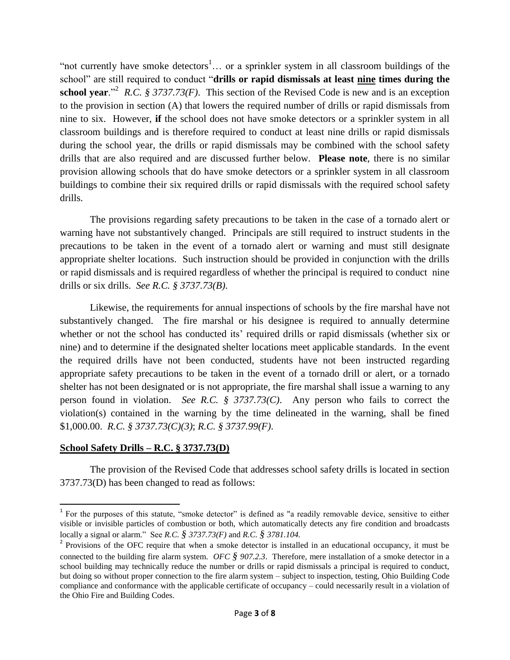"not currently have smoke detectors<sup>1</sup>... or a sprinkler system in all classroom buildings of the school" are still required to conduct "**drills or rapid dismissals at least nine times during the school year.**<sup>2, *R.C.* § 3737.73(*F*). This section of the Revised Code is new and is an exception</sup> to the provision in section (A) that lowers the required number of drills or rapid dismissals from nine to six. However, **if** the school does not have smoke detectors or a sprinkler system in all classroom buildings and is therefore required to conduct at least nine drills or rapid dismissals during the school year, the drills or rapid dismissals may be combined with the school safety drills that are also required and are discussed further below. **Please note**, there is no similar provision allowing schools that do have smoke detectors or a sprinkler system in all classroom buildings to combine their six required drills or rapid dismissals with the required school safety drills.

The provisions regarding safety precautions to be taken in the case of a tornado alert or warning have not substantively changed. Principals are still required to instruct students in the precautions to be taken in the event of a tornado alert or warning and must still designate appropriate shelter locations. Such instruction should be provided in conjunction with the drills or rapid dismissals and is required regardless of whether the principal is required to conduct nine drills or six drills. *See R.C. § 3737.73(B)*.

Likewise, the requirements for annual inspections of schools by the fire marshal have not substantively changed. The fire marshal or his designee is required to annually determine whether or not the school has conducted its' required drills or rapid dismissals (whether six or nine) and to determine if the designated shelter locations meet applicable standards. In the event the required drills have not been conducted, students have not been instructed regarding appropriate safety precautions to be taken in the event of a tornado drill or alert, or a tornado shelter has not been designated or is not appropriate, the fire marshal shall issue a warning to any person found in violation. *See R.C. § 3737.73(C)*. Any person who fails to correct the violation(s) contained in the warning by the time delineated in the warning, shall be fined \$1,000.00. *R.C. § 3737.73(C)(3)*; *R.C. § 3737.99(F)*.

## **School Safety Drills – R.C. § 3737.73(D)**

The provision of the Revised Code that addresses school safety drills is located in section 3737.73(D) has been changed to read as follows:

<sup>&</sup>lt;sup>1</sup> For the purposes of this statute, "smoke detector" is defined as "a readily removable device, sensitive to either visible or invisible particles of combustion or both, which automatically detects any fire condition and broadcasts locally a signal or alarm." See *R.C. § 3737.73(F)* and *R.C. § 3781.104.*

<sup>&</sup>lt;sup>2</sup> Provisions of the OFC require that when a smoke detector is installed in an educational occupancy, it must be connected to the building fire alarm system. *OFC*  $\frac{6}{5}$  *907.2.3*. Therefore, mere installation of a smoke detector in a school building may technically reduce the number or drills or rapid dismissals a principal is required to conduct, but doing so without proper connection to the fire alarm system – subject to inspection, testing, Ohio Building Code compliance and conformance with the applicable certificate of occupancy – could necessarily result in a violation of the Ohio Fire and Building Codes.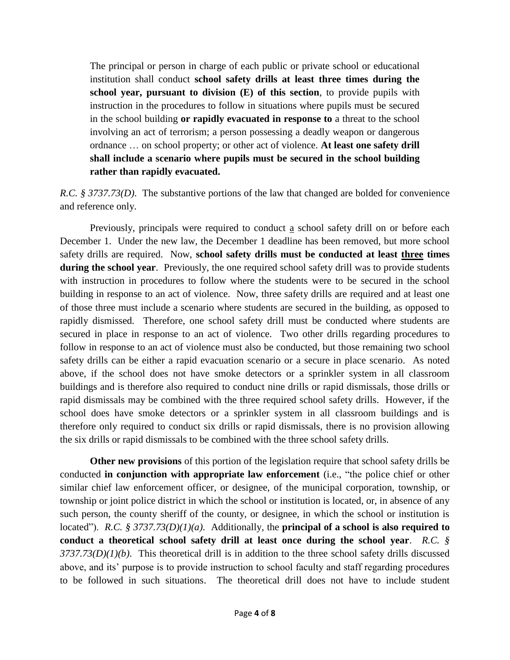The principal or person in charge of each public or private school or educational institution shall conduct **school safety drills at least three times during the school year, pursuant to division (E) of this section**, to provide pupils with instruction in the procedures to follow in situations where pupils must be secured in the school building **or rapidly evacuated in response to** a threat to the school involving an act of terrorism; a person possessing a deadly weapon or dangerous ordnance … on school property; or other act of violence. **At least one safety drill shall include a scenario where pupils must be secured in the school building rather than rapidly evacuated.**

*R.C. § 3737.73(D)*. The substantive portions of the law that changed are bolded for convenience and reference only.

Previously, principals were required to conduct a school safety drill on or before each December 1. Under the new law, the December 1 deadline has been removed, but more school safety drills are required. Now, **school safety drills must be conducted at least three times during the school year**. Previously, the one required school safety drill was to provide students with instruction in procedures to follow where the students were to be secured in the school building in response to an act of violence. Now, three safety drills are required and at least one of those three must include a scenario where students are secured in the building, as opposed to rapidly dismissed. Therefore, one school safety drill must be conducted where students are secured in place in response to an act of violence. Two other drills regarding procedures to follow in response to an act of violence must also be conducted, but those remaining two school safety drills can be either a rapid evacuation scenario or a secure in place scenario. As noted above, if the school does not have smoke detectors or a sprinkler system in all classroom buildings and is therefore also required to conduct nine drills or rapid dismissals, those drills or rapid dismissals may be combined with the three required school safety drills. However, if the school does have smoke detectors or a sprinkler system in all classroom buildings and is therefore only required to conduct six drills or rapid dismissals, there is no provision allowing the six drills or rapid dismissals to be combined with the three school safety drills.

**Other new provisions** of this portion of the legislation require that school safety drills be conducted **in conjunction with appropriate law enforcement** (i.e., "the police chief or other similar chief law enforcement officer, or designee, of the municipal corporation, township, or township or joint police district in which the school or institution is located, or, in absence of any such person, the county sheriff of the county, or designee, in which the school or institution is located"). *R.C. § 3737.73(D)(1)(a)*. Additionally, the **principal of a school is also required to conduct a theoretical school safety drill at least once during the school year**. *R.C. § 3737.73(D)(1)(b)*. This theoretical drill is in addition to the three school safety drills discussed above, and its' purpose is to provide instruction to school faculty and staff regarding procedures to be followed in such situations. The theoretical drill does not have to include student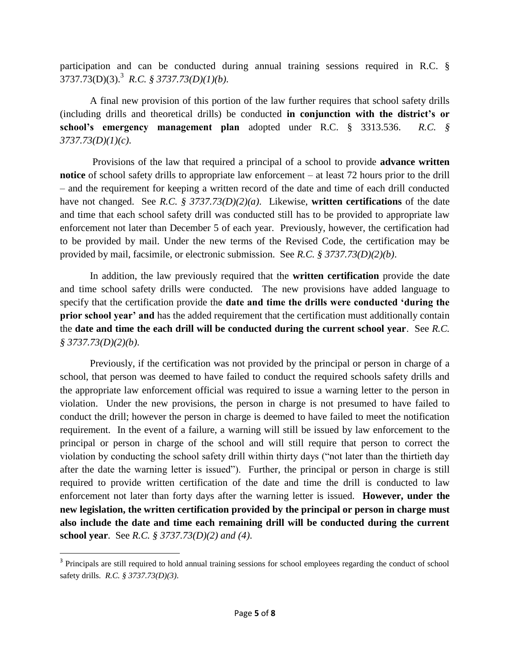participation and can be conducted during annual training sessions required in R.C. § 3737.73(D)(3).<sup>3</sup> *R.C. § 3737.73(D)(1)(b)*.

A final new provision of this portion of the law further requires that school safety drills (including drills and theoretical drills) be conducted **in conjunction with the district's or school's emergency management plan** adopted under R.C. § 3313.536. *R.C. § 3737.73(D)(1)(c)*.

Provisions of the law that required a principal of a school to provide **advance written notice** of school safety drills to appropriate law enforcement – at least 72 hours prior to the drill – and the requirement for keeping a written record of the date and time of each drill conducted have not changed. See *R.C. § 3737.73(D)(2)(a)*. Likewise, **written certifications** of the date and time that each school safety drill was conducted still has to be provided to appropriate law enforcement not later than December 5 of each year. Previously, however, the certification had to be provided by mail. Under the new terms of the Revised Code, the certification may be provided by mail, facsimile, or electronic submission. See *R.C. § 3737.73(D)(2)(b)*.

In addition, the law previously required that the **written certification** provide the date and time school safety drills were conducted. The new provisions have added language to specify that the certification provide the **date and time the drills were conducted 'during the prior school year' and** has the added requirement that the certification must additionally contain the **date and time the each drill will be conducted during the current school year**. See *R.C. § 3737.73(D)(2)(b)*.

Previously, if the certification was not provided by the principal or person in charge of a school, that person was deemed to have failed to conduct the required schools safety drills and the appropriate law enforcement official was required to issue a warning letter to the person in violation. Under the new provisions, the person in charge is not presumed to have failed to conduct the drill; however the person in charge is deemed to have failed to meet the notification requirement. In the event of a failure, a warning will still be issued by law enforcement to the principal or person in charge of the school and will still require that person to correct the violation by conducting the school safety drill within thirty days ("not later than the thirtieth day after the date the warning letter is issued"). Further, the principal or person in charge is still required to provide written certification of the date and time the drill is conducted to law enforcement not later than forty days after the warning letter is issued. **However, under the new legislation, the written certification provided by the principal or person in charge must also include the date and time each remaining drill will be conducted during the current school year**. See *R.C. § 3737.73(D)(2) and (4)*.

 $\overline{\phantom{a}}$ 

<sup>&</sup>lt;sup>3</sup> Principals are still required to hold annual training sessions for school employees regarding the conduct of school safety drills. *R.C. § 3737.73(D)(3)*.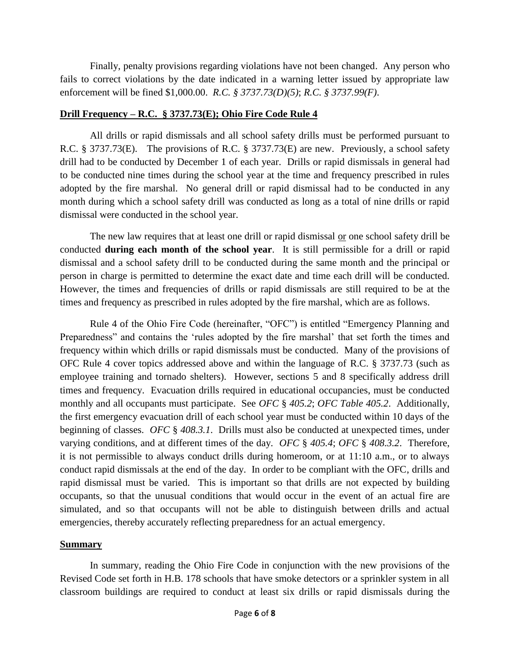Finally, penalty provisions regarding violations have not been changed. Any person who fails to correct violations by the date indicated in a warning letter issued by appropriate law enforcement will be fined \$1,000.00. *R.C. § 3737.73(D)(5)*; *R.C. § 3737.99(F)*.

## **Drill Frequency – R.C. § 3737.73(E); Ohio Fire Code Rule 4**

All drills or rapid dismissals and all school safety drills must be performed pursuant to R.C. § 3737.73(E). The provisions of R.C. § 3737.73(E) are new. Previously, a school safety drill had to be conducted by December 1 of each year. Drills or rapid dismissals in general had to be conducted nine times during the school year at the time and frequency prescribed in rules adopted by the fire marshal. No general drill or rapid dismissal had to be conducted in any month during which a school safety drill was conducted as long as a total of nine drills or rapid dismissal were conducted in the school year.

The new law requires that at least one drill or rapid dismissal or one school safety drill be conducted **during each month of the school year**. It is still permissible for a drill or rapid dismissal and a school safety drill to be conducted during the same month and the principal or person in charge is permitted to determine the exact date and time each drill will be conducted. However, the times and frequencies of drills or rapid dismissals are still required to be at the times and frequency as prescribed in rules adopted by the fire marshal, which are as follows.

Rule 4 of the Ohio Fire Code (hereinafter, "OFC") is entitled "Emergency Planning and Preparedness" and contains the 'rules adopted by the fire marshal' that set forth the times and frequency within which drills or rapid dismissals must be conducted. Many of the provisions of OFC Rule 4 cover topics addressed above and within the language of R.C. § 3737.73 (such as employee training and tornado shelters). However, sections 5 and 8 specifically address drill times and frequency. Evacuation drills required in educational occupancies, must be conducted monthly and all occupants must participate. See *OFC* § *405.2*; *OFC Table 405.2*. Additionally, the first emergency evacuation drill of each school year must be conducted within 10 days of the beginning of classes. *OFC* § *408.3.1*. Drills must also be conducted at unexpected times, under varying conditions, and at different times of the day. *OFC* § *405.4*; *OFC* § *408.3.2*. Therefore, it is not permissible to always conduct drills during homeroom, or at 11:10 a.m., or to always conduct rapid dismissals at the end of the day. In order to be compliant with the OFC, drills and rapid dismissal must be varied. This is important so that drills are not expected by building occupants, so that the unusual conditions that would occur in the event of an actual fire are simulated, and so that occupants will not be able to distinguish between drills and actual emergencies, thereby accurately reflecting preparedness for an actual emergency.

## **Summary**

In summary, reading the Ohio Fire Code in conjunction with the new provisions of the Revised Code set forth in H.B. 178 schools that have smoke detectors or a sprinkler system in all classroom buildings are required to conduct at least six drills or rapid dismissals during the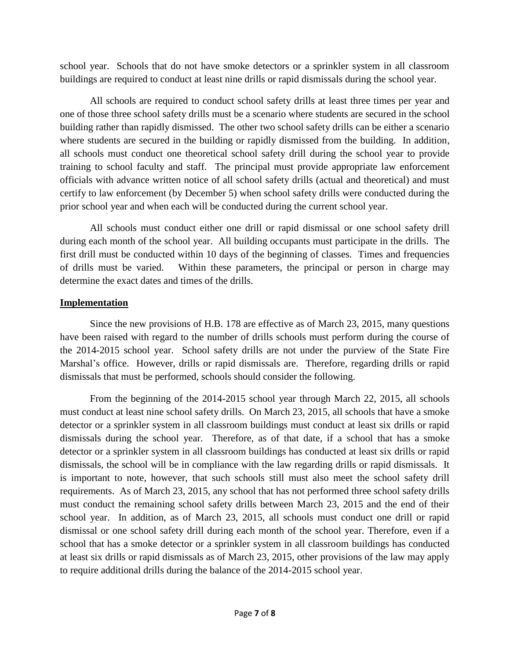school year. Schools that do not have smoke detectors or a sprinkler system in all classroom buildings are required to conduct at least nine drills or rapid dismissals during the school year.

All schools are required to conduct school safety drills at least three times per year and one of those three school safety drills must be a scenario where students are secured in the school building rather than rapidly dismissed. The other two school safety drills can be either a scenario where students are secured in the building or rapidly dismissed from the building. In addition, all schools must conduct one theoretical school safety drill during the school year to provide training to school faculty and staff. The principal must provide appropriate law enforcement officials with advance written notice of all school safety drills (actual and theoretical) and must certify to law enforcement (by December 5) when school safety drills were conducted during the prior school year and when each will be conducted during the current school year.

All schools must conduct either one drill or rapid dismissal or one school safety drill during each month of the school year. All building occupants must participate in the drills. The first drill must be conducted within 10 days of the beginning of classes. Times and frequencies of drills must be varied. Within these parameters, the principal or person in charge may determine the exact dates and times of the drills.

## **Implementation**

Since the new provisions of H.B. 178 are effective as of March 23, 2015, many questions have been raised with regard to the number of drills schools must perform during the course of the 2014-2015 school year. School safety drills are not under the purview of the State Fire Marshal's office. However, drills or rapid dismissals are. Therefore, regarding drills or rapid dismissals that must be performed, schools should consider the following.

From the beginning of the 2014-2015 school year through March 22, 2015, all schools must conduct at least nine school safety drills. On March 23, 2015, all schools that have a smoke detector or a sprinkler system in all classroom buildings must conduct at least six drills or rapid dismissals during the school year. Therefore, as of that date, if a school that has a smoke detector or a sprinkler system in all classroom buildings has conducted at least six drills or rapid dismissals, the school will be in compliance with the law regarding drills or rapid dismissals. It is important to note, however, that such schools still must also meet the school safety drill requirements. As of March 23, 2015, any school that has not performed three school safety drills must conduct the remaining school safety drills between March 23, 2015 and the end of their school year. In addition, as of March 23, 2015, all schools must conduct one drill or rapid dismissal or one school safety drill during each month of the school year. Therefore, even if a school that has a smoke detector or a sprinkler system in all classroom buildings has conducted at least six drills or rapid dismissals as of March 23, 2015, other provisions of the law may apply to require additional drills during the balance of the 2014-2015 school year.